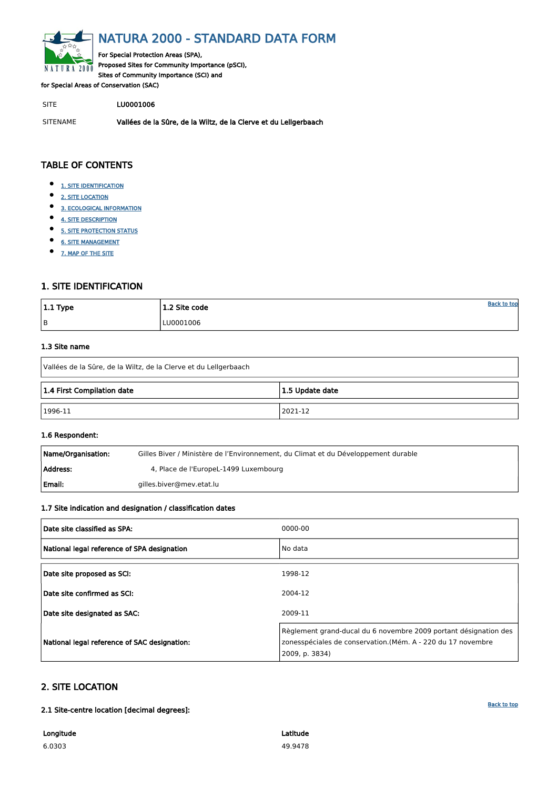<span id="page-0-0"></span>

# NATURA 2000 - STANDARD DATA FORM

For Special Protection Areas (SPA), Proposed Sites for Community Importance (pSCI), Sites of Community Importance (SCI) and

for Special Areas of Conservation (SAC)

SITE LU0001006

- $\bullet$ [1. SITE IDENTIFICATION](#page-0-1)
- $\bullet$ [2. SITE LOCATION](#page-0-2)
- $\bullet$ [3. ECOLOGICAL INFORMATION](#page-1-0)
- $\bullet$ [4. SITE DESCRIPTION](#page-4-0)
- $\bullet$ [5. SITE PROTECTION STATUS](#page-5-0)
- $\bullet$ [6. SITE MANAGEMENT](#page-6-0)
- $\bullet$ [7. MAP OF THE SITE](#page-6-1)

SITENAME Vallées de la Sûre, de la Wiltz, de la Clerve et du Lellgerbaach

| $ 1.1$ Type | 1.2 Site code | <u>Back to top</u> |
|-------------|---------------|--------------------|
| B           | LU0001006     |                    |

### TABLE OF CONTENTS

| Name/Organisation: | Gilles Biver / Ministère de l'Environnement, du Climat et du Développement durable |
|--------------------|------------------------------------------------------------------------------------|
| Address:           | 4, Place de l'EuropeL-1499 Luxembourg                                              |
| l Email:           | gilles.biver@mev.etat.lu                                                           |

# <span id="page-0-1"></span>1. SITE IDENTIFICATION

#### 1.3 Site name

| Vallées de la Sûre, de la Wiltz, de la Clerve et du Lellgerbaach |  |  |  |  |  |  |  |  |  |  |
|------------------------------------------------------------------|--|--|--|--|--|--|--|--|--|--|
| 1.4 First Compilation date<br>1.5 Update date                    |  |  |  |  |  |  |  |  |  |  |
| 2021-12<br>1996-11                                               |  |  |  |  |  |  |  |  |  |  |

### 1.6 Respondent:

### 1.7 Site indication and designation / classification dates

| Date site classified as SPA:                | 0000-00 |
|---------------------------------------------|---------|
| National legal reference of SPA designation | No data |
| Date site proposed as SCI:                  | 1998-12 |
| Date site confirmed as SCI:                 | 2004-12 |

| Date site designated as SAC:                 | 2009-11                                                                                                                                           |
|----------------------------------------------|---------------------------------------------------------------------------------------------------------------------------------------------------|
| National legal reference of SAC designation: | Règlement grand-ducal du 6 novembre 2009 portant désignation des<br>zonesspéciales de conservation.(Mém. A - 220 du 17 novembre<br>2009, p. 3834) |

# <span id="page-0-2"></span>2. SITE LOCATION

2.1 Site-centre location [decimal degrees]:

Longitude 6.0303

Latitude 49.9478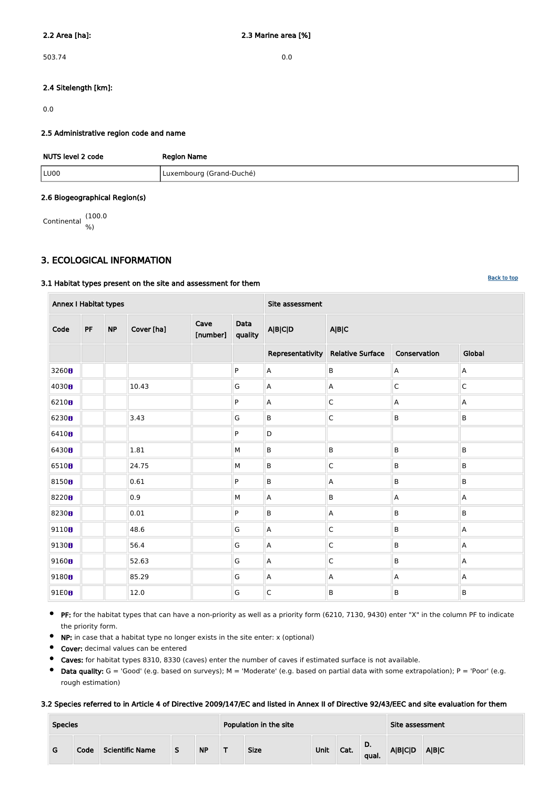503.74 0.0

### 2.4 Sitelength [km]:

0.0

#### 2.5 Administrative region code and name

| NUTS level 2 code | <b>Region Name</b>       |  |  |  |  |  |  |
|-------------------|--------------------------|--|--|--|--|--|--|
| LU00              | Luxembourg (Grand-Duché) |  |  |  |  |  |  |

#### 2.6 Biogeographical Region(s)

Continental (100.0 %)

### <span id="page-1-0"></span>3. ECOLOGICAL INFORMATION

#### 3.1 Habitat types present on the site and assessment for them

| <b>Annex I Habitat types</b> |    |           |            |                  |                 | Site assessment  |                           |                |             |  |  |  |
|------------------------------|----|-----------|------------|------------------|-----------------|------------------|---------------------------|----------------|-------------|--|--|--|
| Code                         | PF | <b>NP</b> | Cover [ha] | Cave<br>[number] | Data<br>quality | <b>A B C D</b>   | <b>A B C</b>              |                |             |  |  |  |
|                              |    |           |            |                  |                 | Representativity | <b>Relative Surface</b>   | Global         |             |  |  |  |
| 3260 <sub>B</sub>            |    |           |            |                  | P               | $\mathsf A$      | B                         | $\mathsf{A}$   | $\mathsf A$ |  |  |  |
| 4030 <sub>8</sub>            |    |           | 10.43      |                  | G               | $\mathsf A$      | $\mathsf A$               | $\mathsf{C}$   | $\mathsf C$ |  |  |  |
| 6210 <sub>8</sub>            |    |           |            |                  | P               | $\mathsf A$      | $\mathsf C$               | A              | A           |  |  |  |
| 6230 <sub>8</sub>            |    |           | 3.43       |                  | G               | $\sf B$          | $\mathsf C$               | $\sf B$        | B           |  |  |  |
| 6410B                        |    |           |            |                  | P               | $\mathsf D$      |                           |                |             |  |  |  |
| 64308                        |    |           | 1.81       |                  | M               | $\sf B$          | B                         | $\sf B$        | $\mathsf B$ |  |  |  |
| 65108                        |    |           | 24.75      |                  | ${\sf M}$       | $\sf B$          | $\mathsf C$               | $\sf B$        | $\sf B$     |  |  |  |
| 81508                        |    |           | 0.61       |                  | P               | $\sf B$          | $\boldsymbol{\mathsf{A}}$ | B              | $\sf B$     |  |  |  |
| 82208                        |    |           | 0.9        |                  | M               | $\mathsf A$      | B                         | $\mathsf A$    | $\mathsf A$ |  |  |  |
| 8230 <sub>8</sub>            |    |           | 0.01       |                  | P               | $\sf B$          | $\mathsf A$               | $\sf B$        | B           |  |  |  |
| 9110 <sub>0</sub>            |    |           | 48.6       |                  | ${\mathsf G}$   | $\mathsf A$      | $\mathsf C$               | $\sf B$        | A           |  |  |  |
| 9130 <sub>0</sub>            |    |           | 56.4       |                  | G               | A                | $\mathsf C$               | B              | A           |  |  |  |
| 9160B                        |    |           | 52.63      |                  | ${\mathsf G}$   | $\mathsf A$      | $\mathsf C$               | B              | A           |  |  |  |
| 9180B                        |    |           | 85.29      |                  | G               | $\mathsf A$      | $\mathsf A$               | $\overline{A}$ | A           |  |  |  |
| 91E0 <sub>8</sub>            |    |           | 12.0       |                  | ${\mathsf G}$   | $\mathsf C$      | B                         | $\sf B$        | $\sf B$     |  |  |  |

- $\bullet$ PF: for the habitat types that can have a non-priority as well as a priority form (6210, 7130, 9430) enter "X" in the column PF to indicate the priority form.
- $\bullet$ NP: in case that a habitat type no longer exists in the site enter: x (optional)
- $\bullet$ Cover: decimal values can be entered
- $\bullet$ Caves: for habitat types 8310, 8330 (caves) enter the number of caves if estimated surface is not available.
- $\bullet$  Data quality:  $G = 'Good'$  (e.g. based on surveys); M = 'Moderate' (e.g. based on partial data with some extrapolation); P = 'Poor' (e.g. rough estimation)

#### 3.2 Species referred to in Article 4 of Directive 2009/147/EC and listed in Annex II of Directive 92/43/EEC and site evaluation for them

| <b>Species</b> |      |                        |  | Population in the site |             | Site assessment |      |                    |                 |       |
|----------------|------|------------------------|--|------------------------|-------------|-----------------|------|--------------------|-----------------|-------|
| G              | Code | <b>Scientific Name</b> |  | <b>NP</b>              | <b>Size</b> | Unit            | Cat. | <b>D.</b><br>qual. | <b>A B C D </b> | A B C |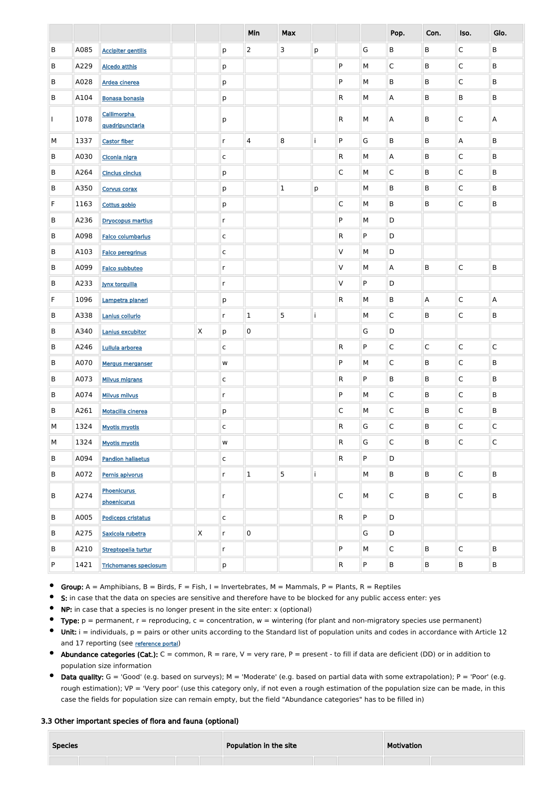|         |      |                                   |              |              | Min                     | <b>Max</b>  |                    |                |           | Pop.            | Con.                    | Iso.         | Glo.         |
|---------|------|-----------------------------------|--------------|--------------|-------------------------|-------------|--------------------|----------------|-----------|-----------------|-------------------------|--------------|--------------|
| $\sf B$ | A085 | <b>Accipiter gentilis</b>         |              | p            | $\overline{2}$          | 3           | p                  |                | G         | $\mathsf B$     | B                       | C            | B            |
| $\sf B$ | A229 | <b>Alcedo atthis</b>              |              | p            |                         |             |                    | P              | M         | $\mathsf{C}$    | B                       | C            | $\sf B$      |
| $\sf B$ | A028 | Ardea cinerea                     |              | p            |                         |             |                    | P              | M         | $\sf B$         | B                       | C            | B            |
| $\sf B$ | A104 | <b>Bonasa bonasia</b>             |              | p            |                         |             |                    | R              | M         | Α               | $\sf B$                 | B            | B            |
|         | 1078 | Callimorpha<br>quadripunctaria    |              | p            |                         |             |                    | ${\sf R}$      | M         | Α               | B                       | С            | Α            |
| M       | 1337 | <b>Castor fiber</b>               |              | $\mathsf{r}$ | $\overline{\mathbf{4}}$ | 8           | İ                  | P              | G         | $\sf B$         | B                       | A            | $\sf B$      |
| B       | A030 | Ciconia nigra                     |              | $\mathsf{C}$ |                         |             |                    | R              | М         | Α               | B                       | C            | B            |
| B       | A264 | <b>Cinclus cinclus</b>            |              | p            |                         |             |                    | $\mathsf C$    | М         | $\mathsf{C}$    | B                       | C            | B            |
| B       | A350 | Corvus corax                      |              | p            |                         | $\mathbf 1$ | $\mathsf{p}% _{T}$ |                | М         | B               | B                       | C            | B            |
| F       | 1163 | Cottus gobio                      |              | p            |                         |             |                    | $\mathsf C$    | М         | B               | B                       | C            | B            |
| B       | A236 | <b>Dryocopus martius</b>          |              | $\mathsf{r}$ |                         |             |                    | P              | М         | D               |                         |              |              |
| B       | A098 | <b>Falco columbarius</b>          |              | $\mathsf{C}$ |                         |             |                    | R              | ${\sf P}$ | D               |                         |              |              |
| B       | A103 | <b>Falco peregrinus</b>           |              | $\mathsf{C}$ |                         |             |                    | V              | М         | D               |                         |              |              |
| B       | A099 | <b>Falco subbuteo</b>             |              | $\mathsf{r}$ |                         |             |                    | V              | М         | A               | B                       | C            | $\sf B$      |
| B       | A233 | <b>Jynx torquilla</b>             |              | $\mathsf{r}$ |                         |             |                    | V              | ${\sf P}$ | D               |                         |              |              |
| F       | 1096 | Lampetra planeri                  |              | p            |                         |             |                    | R              | М         | B               | $\overline{\mathsf{A}}$ | C            | A            |
| B       | A338 | Lanius collurio                   |              | $\mathsf{r}$ | $\mathbf{1}$            | 5           | İ                  |                | M         | $\mathsf C$     | B                       | С            | B            |
| B       | A340 | Lanius excubitor                  | $\mathsf{X}$ | p            | $\mathbf 0$             |             |                    |                | G         | D               |                         |              |              |
| B       | A246 | Lullula arborea                   |              | $\mathsf{C}$ |                         |             |                    | $\mathsf{R}$   | P         | $\mathsf C$     | $\mathsf C$             | $\mathsf{C}$ | $\mathsf{C}$ |
| B       | A070 | <b>Mergus merganser</b>           |              | ${\sf W}$    |                         |             |                    | P              | М         | $\mathsf{C}$    | $\mathsf{B}$            | $\mathsf{C}$ | $\sf B$      |
| B       | A073 | <b>Milvus migrans</b>             |              | $\mathsf{C}$ |                         |             |                    | $\mathsf{R}$   | P         | $\mathsf{B}$    | $\mathsf{B}$            | $\mathsf{C}$ | $\sf B$      |
| $\sf B$ | A074 | <b>Milvus milvus</b>              |              | $\mathsf{r}$ |                         |             |                    | P              | М         | $\mathsf{C}$    | $\mathsf{B}$            | $\mathsf{C}$ | $\sf B$      |
| B       | A261 | Motacilla cinerea                 |              | p            |                         |             |                    | $\mathsf{C}$   | М         | $\mathsf{C}$    | $\mathsf{B}$            | $\mathsf{C}$ | $\sf B$      |
| M       | 1324 | <b>Myotis myotis</b>              |              | $\mathsf{C}$ |                         |             |                    | $\mathsf{R}$   | G         | $\mathsf{C}$    | $\mathsf{B}$            | $\mathsf{C}$ | C            |
| М       | 1324 | <b>Myotis myotis</b>              |              | W            |                         |             |                    | $\mathsf{R}$   | G         | $\mathsf C$     | $\mathsf{B}$            | $\mathsf{C}$ | $\mathsf C$  |
| B       | A094 | <b>Pandion haliaetus</b>          |              | $\mathsf{C}$ |                         |             |                    | $\mathsf{R}$   | P         | D               |                         |              |              |
| B       | A072 | Pernis apivorus                   |              | $\mathsf{r}$ | $\mathbf 1$             | 5           | İ                  |                | M         | $\mathsf{B}$    | $\mathsf{B}$            | $\mathsf{C}$ | $\sf B$      |
| B       | A274 | <b>Phoenicurus</b><br>phoenicurus |              | $\mathsf{r}$ |                         |             |                    | $\overline{C}$ | M         | $\mathsf{C}$    | $\sf B$                 | $\mathsf{C}$ | $\sf B$      |
| B       | A005 | <b>Podiceps cristatus</b>         |              | $\mathsf{C}$ |                         |             |                    | $\mathsf{R}$   | P         | D               |                         |              |              |
| B       | A275 | Saxicola rubetra                  | $\mathsf{X}$ | $\mathsf{r}$ | $\mathbf 0$             |             |                    |                | G         | D               |                         |              |              |
| B       | A210 | Streptopelia turtur               |              | $\mathsf{r}$ |                         |             |                    | P              | М         | $\mathsf C$     | $\mathsf B$             | $\mathsf{C}$ | B            |
| P       | 1421 | <b>Trichomanes speciosum</b>      |              | p            |                         |             |                    | $\mathsf{R}$   | P         | $\, {\bf B} \,$ | $\, {\bf B}$            | B            | $\mathsf B$  |

Group:  $A =$  Amphibians,  $B =$  Birds,  $F =$  Fish, I = Invertebrates, M = Mammals, P = Plants, R = Reptiles

- S: in case that the data on species are sensitive and therefore have to be blocked for any public access enter: yes
- $\bullet$ NP: in case that a species is no longer present in the site enter: x (optional)
- $\bullet$ Type:  $p =$  permanent,  $r =$  reproducing,  $c =$  concentration,  $w =$  wintering (for plant and non-migratory species use permanent)
- $\bullet$ Unit:  $i =$  individuals,  $p =$  pairs or other units according to the Standard list of population units and codes in accordance with Article 12 and 17 reporting (see [reference portal](http://bd.eionet.europa.eu/activities/Natura_2000/reference_portal))
- Abundance categories (Cat.):  $C =$  common,  $R =$  rare,  $V =$  very rare,  $P =$  present to fill if data are deficient (DD) or in addition to population size information
- $\bullet$  Data quality:  $G = 'Good'$  (e.g. based on surveys); M = 'Moderate' (e.g. based on partial data with some extrapolation); P = 'Poor' (e.g. rough estimation); VP = 'Very poor' (use this category only, if not even a rough estimation of the population size can be made, in this case the fields for population size can remain empty, but the field "Abundance categories" has to be filled in)

#### 3.3 Other important species of flora and fauna (optional)

| <b>Species</b> | Population in the site | Motivation |  |  |
|----------------|------------------------|------------|--|--|
|                |                        |            |  |  |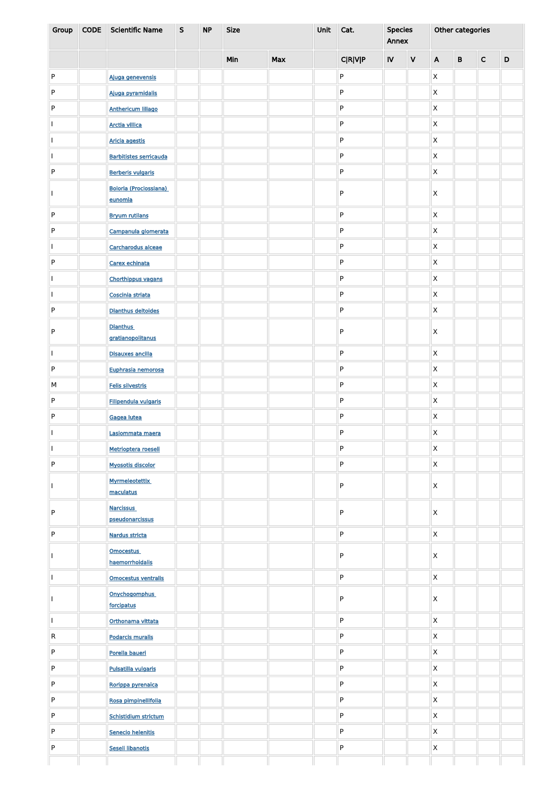| Group | <b>CODE</b> | <b>Scientific Name</b>                   | $\mathsf{S}$ | <b>NP</b> | <b>Size</b> |            | Unit | Cat.           | <b>Species</b><br>Annex |   | Other categories |              |              |             |  |
|-------|-------------|------------------------------------------|--------------|-----------|-------------|------------|------|----------------|-------------------------|---|------------------|--------------|--------------|-------------|--|
|       |             |                                          |              |           | Min         | <b>Max</b> |      | <b>C R V P</b> | <b>IV</b>               | V | $\mathsf{A}$     | $\mathbf{B}$ | $\mathsf{C}$ | $\mathsf D$ |  |
| P     |             | Ajuga genevensis                         |              |           |             |            |      | ${\sf P}$      |                         |   | Χ                |              |              |             |  |
| P     |             | Ajuga pyramidalis                        |              |           |             |            |      | ${\sf P}$      |                         |   | Χ                |              |              |             |  |
| P     |             | <b>Anthericum liliago</b>                |              |           |             |            |      | ${\sf P}$      |                         |   | X                |              |              |             |  |
|       |             | <b>Arctia villica</b>                    |              |           |             |            |      | P              |                         |   | X                |              |              |             |  |
|       |             | <b>Aricia agestis</b>                    |              |           |             |            |      | P              |                         |   | Χ                |              |              |             |  |
|       |             | <b>Barbitistes serricauda</b>            |              |           |             |            |      | P              |                         |   | X                |              |              |             |  |
| P     |             | <b>Berberis vulgaris</b>                 |              |           |             |            |      | P              |                         |   | X                |              |              |             |  |
|       |             | <b>Boloria (Proclossiana)</b><br>eunomia |              |           |             |            |      | ${\sf P}$      |                         |   | Χ                |              |              |             |  |
| P     |             | <b>Bryum rutilans</b>                    |              |           |             |            |      | ${\sf P}$      |                         |   | $\pmb{\times}$   |              |              |             |  |
| P     |             | Campanula glomerata                      |              |           |             |            |      | ${\sf P}$      |                         |   | Χ                |              |              |             |  |
|       |             | Carcharodus alceae                       |              |           |             |            |      | ${\sf P}$      |                         |   | Χ                |              |              |             |  |
| P     |             | Carex echinata                           |              |           |             |            |      | ${\sf P}$      |                         |   | Χ                |              |              |             |  |
|       |             | <b>Chorthippus vagans</b>                |              |           |             |            |      | ${\sf P}$      |                         |   | Χ                |              |              |             |  |
|       |             | Coscinia striata                         |              |           |             |            |      | ${\sf P}$      |                         |   | X                |              |              |             |  |
| P     |             | Dianthus deltoides                       |              |           |             |            |      | ${\sf P}$      |                         |   | Χ                |              |              |             |  |
|       |             | <b>Dianthus</b>                          |              |           |             |            |      |                |                         |   |                  |              |              |             |  |
| P     |             | gratianopolitanus                        |              |           |             |            |      | ${\sf P}$      |                         |   | Χ                |              |              |             |  |
|       |             | <b>Disauxes ancilla</b>                  |              |           |             |            |      | P              |                         |   | $\mathsf{X}$     |              |              |             |  |
| P     |             | Euphrasia nemorosa                       |              |           |             |            |      | ${\sf P}$      |                         |   | $\mathsf{X}$     |              |              |             |  |
| М     |             | Felis silvestris                         |              |           |             |            |      | ${\sf P}$      |                         |   | $\pmb{\times}$   |              |              |             |  |
| P     |             | Filipendula vulgaris                     |              |           |             |            |      | ${\sf P}$      |                         |   | $\mathsf{X}$     |              |              |             |  |
| P     |             | Gagea lutea                              |              |           |             |            |      | ${\sf P}$      |                         |   | $\mathsf{X}$     |              |              |             |  |
|       |             | Lasiommata maera                         |              |           |             |            |      | P              |                         |   | $\mathsf{X}$     |              |              |             |  |
|       |             | Metrioptera roeseli                      |              |           |             |            |      | P              |                         |   | $\pmb{\times}$   |              |              |             |  |
| P     |             | <b>Myosotis discolor</b>                 |              |           |             |            |      | P              |                         |   | $\mathsf{X}$     |              |              |             |  |
|       |             | <b>Myrmeleotettix</b><br>maculatus       |              |           |             |            |      | P              |                         |   | Χ                |              |              |             |  |
| D     |             | <b>Narcissus</b><br>pseudonarcissus      |              |           |             |            |      | P              |                         |   | Χ                |              |              |             |  |
| P     |             | Nardus stricta                           |              |           |             |            |      | P              |                         |   | $\mathsf{X}$     |              |              |             |  |
|       |             | <b>Omocestus</b><br>haemorrhoidalis      |              |           |             |            |      | P              |                         |   | Χ                |              |              |             |  |
|       |             | Omocestus ventralis                      |              |           |             |            |      | ${\sf P}$      |                         |   | $\pmb{\times}$   |              |              |             |  |
|       |             | Onychogomphus<br>forcipatus              |              |           |             |            |      | P              |                         |   | Χ                |              |              |             |  |
|       |             | Orthonama vittata                        |              |           |             |            |      | ${\sf P}$      |                         |   | X                |              |              |             |  |
| R     |             | <b>Podarcis muralis</b>                  |              |           |             |            |      | P              |                         |   | $\mathsf X$      |              |              |             |  |
| P     |             | Porella baueri                           |              |           |             |            |      | P              |                         |   | $\mathsf{X}$     |              |              |             |  |
| P     |             | Pulsatilla vulgaris                      |              |           |             |            |      | P              |                         |   | $\mathsf{X}$     |              |              |             |  |
| P     |             | Rorippa pyrenaica                        |              |           |             |            |      | P              |                         |   | $\mathsf X$      |              |              |             |  |
| P     |             | Rosa pimpinellifolia                     |              |           |             |            |      | P              |                         |   | $\mathsf{X}$     |              |              |             |  |
| P     |             | <b>Schistidium strictum</b>              |              |           |             |            |      | P              |                         |   | $\mathsf{X}$     |              |              |             |  |
| P     |             | Senecio helenitis                        |              |           |             |            |      | ${\sf P}$      |                         |   | $\mathsf{X}$     |              |              |             |  |
| P     |             | Seseli libanotis                         |              |           |             |            |      | ${\sf P}$      |                         |   | X                |              |              |             |  |
|       |             |                                          |              |           |             |            |      |                |                         |   |                  |              |              |             |  |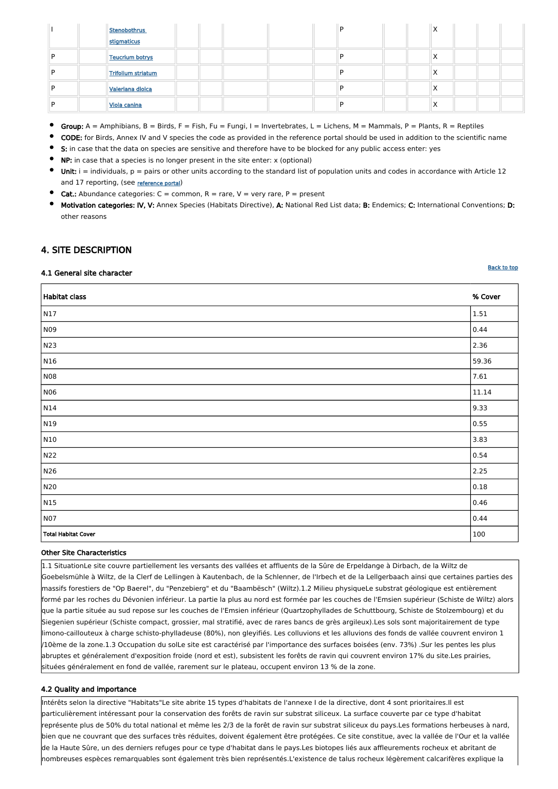|  | <b>Stenobothrus</b> |  |  | D |  | $\lambda$ |  |  |
|--|---------------------|--|--|---|--|-----------|--|--|
|  | stigmaticus         |  |  |   |  |           |  |  |
|  | Teucrium botrys     |  |  | D |  | $\lambda$ |  |  |
|  | Trifolium striatum  |  |  | D |  | $\lambda$ |  |  |
|  | Valeriana dioica    |  |  | D |  | $\lambda$ |  |  |
|  | Viola canina        |  |  | D |  | $\lambda$ |  |  |

- Group:  $A =$  Amphibians,  $B =$  Birds,  $F =$  Fish,  $Fu =$  Fungi,  $I =$  Invertebrates,  $L =$  Lichens,  $M =$  Mammals,  $P =$  Plants,  $R =$  Reptiles
- CODE: for Birds, Annex IV and V species the code as provided in the reference portal should be used in addition to the scientific name
- S: in case that the data on species are sensitive and therefore have to be blocked for any public access enter: yes
- NP: in case that a species is no longer present in the site enter: x (optional)
- Unit:  $i =$  individuals,  $p =$  pairs or other units according to the standard list of population units and codes in accordance with Article 12 and 17 reporting, (see [reference portal](http://bd.eionet.europa.eu/activities/Natura_2000/reference_portal))
- **Cat.:** Abundance categories:  $C =$  common,  $R =$  rare,  $V =$  very rare,  $P =$  present
- Motivation categories: IV, V: Annex Species (Habitats Directive), A: National Red List data; B: Endemics; C: International Conventions; D: other reasons

Habitat class % Cover N17 1.51 N09 0.44 N23 2.36 N16 59.36 NO8  $|7.61$ N06 11.14  $N14$  9.33 N $19$  0.55  $\hphantom{00}$ N10  $\vert$  3.83  $\vert$  $\sim$  0.54  $\,$  0.54  $\,$ N26 2.25 N20 0.18  $\vert 0.46 \vert$ N07 0.44 Total Habitat Cover 2008 | 100 Assembly 100 Assembly 100 Assembly 100 Assembly 100 Assembly 100 Assembly 100 Assembly 100 Assembly 100 Assembly 100 Assembly 100 Assembly 100 Assembly 100 Assembly 100 Assembly 100 Assembly

### <span id="page-4-0"></span>4. SITE DESCRIPTION

#### 4.1 General site character

#### Other Site Characteristics

1.1 SituationLe site couvre partiellement les versants des vallées et affluents de la Sûre de Erpeldange à Dirbach, de la Wiltz de Goebelsmühle à Wiltz, de la Clerf de Lellingen à Kautenbach, de la Schlenner, de l'Irbech et de la Lellgerbaach ainsi que certaines parties des massifs forestiers de "Op Baerel", du "Penzebierg" et du "Baambësch" (Wiltz).1.2 Milieu physiqueLe substrat géologique est entièrement

**[Back to top](#page-0-0)** 

formé par les roches du Dévonien inférieur. La partie la plus au nord est formée par les couches de l'Emsien supérieur (Schiste de Wiltz) alors que la partie située au sud repose sur les couches de l'Emsien inférieur (Quartzophyllades de Schuttbourg, Schiste de Stolzembourg) et du Siegenien supérieur (Schiste compact, grossier, mal stratifié, avec de rares bancs de grès argileux).Les sols sont majoritairement de type limono-caillouteux à charge schisto-phylladeuse (80%), non gleyifiés. Les colluvions et les alluvions des fonds de vallée couvrent environ 1 /10ème de la zone.1.3 Occupation du solLe site est caractérisé par l'importance des surfaces boisées (env. 73%) .Sur les pentes les plus abruptes et généralement d'exposition froide (nord et est), subsistent les forêts de ravin qui couvrent environ 17% du site.Les prairies, situées généralement en fond de vallée, rarement sur le plateau, occupent environ 13 % de la zone.

#### 4.2 Quality and importance

Intérêts selon la directive "Habitats"Le site abrite 15 types d'habitats de l'annexe I de la directive, dont 4 sont prioritaires.Il est particulièrement intéressant pour la conservation des forêts de ravin sur substrat siliceux. La surface couverte par ce type d'habitat représente plus de 50% du total national et même les 2/3 de la forêt de ravin sur substrat siliceux du pays.Les formations herbeuses à nard, bien que ne couvrant que des surfaces très réduites, doivent également être protégées. Ce site constitue, avec la vallée de l'Our et la vallée de la Haute Sûre, un des derniers refuges pour ce type d'habitat dans le pays.Les biotopes liés aux affleurements rocheux et abritant de nombreuses espèces remarquables sont également très bien représentés.L'existence de talus rocheux légèrement calcarifères explique la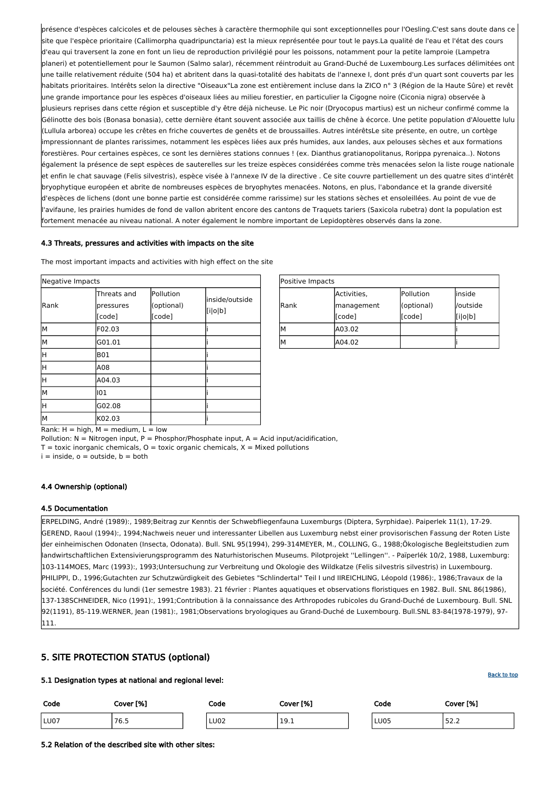| Positive Impacts |             |            |          |
|------------------|-------------|------------|----------|
|                  | Activities, | Pollution  | linside  |
| lRank            | management  | (optional) | /outside |
|                  | [code]      | [code]     | [i o b]  |
| М                | A03.02      |            |          |
| М                | A04.02      |            |          |

Rank:  $H = high$ ,  $M = medium$ ,  $L = low$ 

Pollution:  $N = N$ itrogen input, P = Phosphor/Phosphate input, A = Acid input/acidification,

 $T =$  toxic inorganic chemicals,  $O =$  toxic organic chemicals,  $X =$  Mixed pollutions

 $i =$  inside,  $o =$  outside,  $b =$  both

| Negative Impacts    |                                                |                                   |                           |
|---------------------|------------------------------------------------|-----------------------------------|---------------------------|
| Rank                | Threats and<br>pressures<br>[code]             | Pollution<br>(optional)<br>[code] | inside/outside<br>[i o b] |
| lМ                  | F02.03                                         |                                   |                           |
| lМ                  | G01.01                                         |                                   |                           |
| H                   | <b>B01</b>                                     |                                   |                           |
| Η                   | A08                                            |                                   |                           |
| H                   | A04.03                                         |                                   |                           |
| lм                  | 101                                            |                                   |                           |
| H                   | G02.08                                         |                                   |                           |
| lМ<br>.<br>$\cdots$ | K02.03<br>$\cdot$ .<br>$\sim$ $\sim$<br>$\sim$ |                                   |                           |

présence d'espèces calcicoles et de pelouses sèches à caractère thermophile qui sont exceptionnelles pour l'Oesling.C'est sans doute dans ce site que l'espèce prioritaire (Callimorpha quadripunctaria) est la mieux représentée pour tout le pays.La qualité de l'eau et l'état des cours d'eau qui traversent la zone en font un lieu de reproduction privilégié pour les poissons, notamment pour la petite lamproie (Lampetra planeri) et potentiellement pour le Saumon (Salmo salar), récemment réintroduit au Grand-Duché de Luxembourg.Les surfaces délimitées ont une taille relativement réduite (504 ha) et abritent dans la quasi-totalité des habitats de l'annexe I, dont prés d'un quart sont couverts par les habitats prioritaires. Intérêts selon la directive "Oiseaux"La zone est entièrement incluse dans la ZICO n° 3 (Région de la Haute Sûre) et revêt une grande importance pour les espèces d'oiseaux liées au milieu forestier, en particulier la Cigogne noire (Ciconia nigra) observée à plusieurs reprises dans cette région et susceptible d'y être déjà nicheuse. Le Pic noir (Dryocopus martius) est un nicheur confirmé comme la Gélinotte des bois (Bonasa bonasia), cette dernière étant souvent associée aux taillis de chêne à écorce. Une petite population d'Alouette lulu (Lullula arborea) occupe les crêtes en friche couvertes de genêts et de broussailles. Autres intérêtsLe site présente, en outre, un cortège impressionnant de plantes rarissimes, notamment les espèces liées aux prés humides, aux landes, aux pelouses sèches et aux formations forestières. Pour certaines espèces, ce sont les dernières stations connues ! (ex. Dianthus gratianopolitanus, Rorippa pyrenaica..). Notons également la présence de sept espèces de sauterelles sur les treize espèces considérées comme très menacées selon la liste rouge nationale et enfin le chat sauvage (Felis silvestris), espèce visée à l'annexe IV de la directive . Ce site couvre partiellement un des quatre sites d'intérêt bryophytique européen et abrite de nombreuses espèces de bryophytes menacées. Notons, en plus, l'abondance et la grande diversité d'espèces de lichens (dont une bonne partie est considérée comme rarissime) sur les stations sèches et ensoleillées. Au point de vue de l'avifaune, les prairies humides de fond de vallon abritent encore des cantons de Traquets tariers (Saxicola rubetra) dont la population est fortement menacée au niveau national. A noter également le nombre important de Lepidoptères observés dans la zone.

#### 4.3 Threats, pressures and activities with impacts on the site

| The most important impacts and activities with high effect on the site |  |  |
|------------------------------------------------------------------------|--|--|
|                                                                        |  |  |

#### 4.4 Ownership (optional)

#### 4.5 Documentation

ERPELDING, André (1989):, 1989;Beitrag zur Kenntis der Schwebfliegenfauna Luxemburgs (Diptera, Syrphidae). Paiperlek 11(1), 17-29. GEREND, Raoul (1994):, 1994;Nachweis neuer und interessanter Libellen aus Luxemburg nebst einer provisorischen Fassung der Roten Liste der einheimischen Odonaten (Insecta, Odonata). Bull. SNL 95(1994), 299-314MEYER, M., COLLING, G., 1988;Ökologische Begleitstudien zum landwirtschaftlichen Extensivierungsprogramm des Naturhistorischen Museums. Pilotprojekt ''Lellingen''. - Païperlék 10/2, 1988, Luxemburg: 103-114MOES, Marc (1993):, 1993;Untersuchung zur Verbreitung und Okologie des Wildkatze (Felis silvestris silvestris) in Luxembourg. PHILIPPI, D., 1996;Gutachten zur Schutzwürdigkeit des Gebietes "Schlindertal" Teil I und IIREICHLING, Léopold (1986):, 1986;Travaux de la société. Conférences du lundi (1er semestre 1983). 21 février : Plantes aquatiques et observations floristiques en 1982. Bull. SNL 86(1986),

137-138SCHNEIDER, Nico (1991):, 1991;Contribution ä la connaissance des Arthropodes rubicoles du Grand-Duché de Luxembourg. Bull. SNL 92(1191), 85-119.WERNER, Jean (1981):, 1981;Observations bryologiques au Grand-Duché de Luxembourg. Bull.SNL 83-84(1978-1979), 97- 111.

# <span id="page-5-0"></span>5. SITE PROTECTION STATUS (optional)

5.1 Designation types at national and regional level:

| Code | Cover [%] | Code | Cover [%] | Code        | Cover [%]       |
|------|-----------|------|-----------|-------------|-----------------|
| LU07 | 76.5      | LU02 | 19.1      | <b>LU05</b> | $  -$<br>ے ۔ے ر |

5.2 Relation of the described site with other sites: